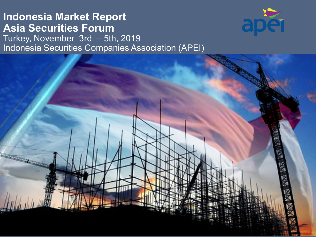### **Indonesia Market Report Asia Securities Forum** Turkey, November 3rd – 5th, 2019 Indonesia Securities Companies Association (APEI)

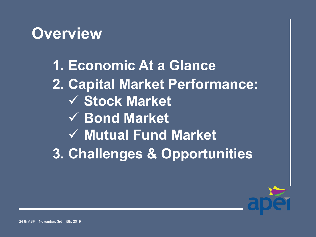## **Overview**

**1. Economic At a Glance 2. Capital Market Performance: Stock Market Bond Market Mutual Fund Market 3. Challenges & Opportunities**

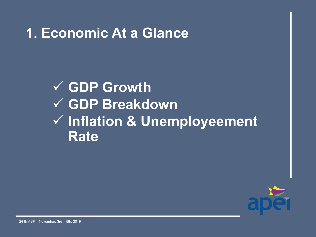## **1. Economic At a Glance**

## **GDP Growth GDP Breakdown Inflation & Unemployeement Rate**

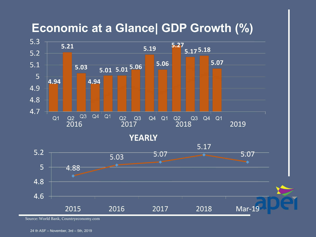### **Economic at a Glance| GDP Growth (%)**



Source: World Bank, Countryeconomy.com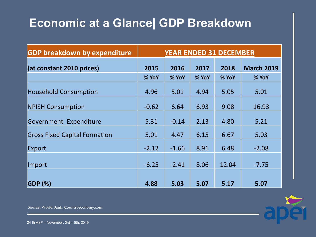## **Economic at a Glance| GDP Breakdown**

| <b>GDP breakdown by expenditure</b>  | <b>YEAR ENDED 31 DECEMBER</b> |         |       |       |                   |
|--------------------------------------|-------------------------------|---------|-------|-------|-------------------|
| (at constant 2010 prices)            | 2015                          | 2016    | 2017  | 2018  | <b>March 2019</b> |
|                                      | % YoY                         | % YoY   | % YoY | % YoY | % YoY             |
| <b>Household Consumption</b>         | 4.96                          | 5.01    | 4.94  | 5.05  | 5.01              |
| <b>NPISH Consumption</b>             | $-0.62$                       | 6.64    | 6.93  | 9.08  | 16.93             |
| Government Expenditure               | 5.31                          | $-0.14$ | 2.13  | 4.80  | 5.21              |
| <b>Gross Fixed Capital Formation</b> | 5.01                          | 4.47    | 6.15  | 6.67  | 5.03              |
| Export                               | $-2.12$                       | $-1.66$ | 8.91  | 6.48  | $-2.08$           |
| Import                               | $-6.25$                       | $-2.41$ | 8.06  | 12.04 | $-7.75$           |
| <b>GDP (%)</b>                       | 4.88                          | 5.03    | 5.07  | 5.17  | 5.07              |



Source: World Bank, Countryeconomy.com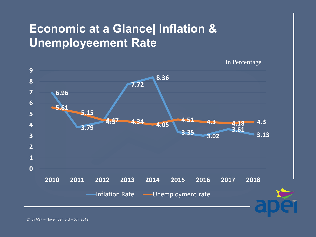## **Economic at a Glance| Inflation & Unemployeement Rate**

In Percentage

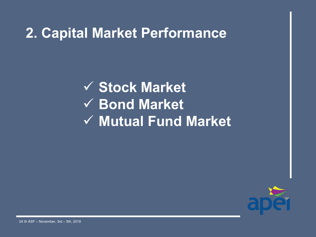## **2. Capital Market Performance**

 **Stock Market Bond Market Mutual Fund Market**

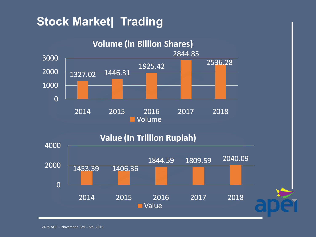## **Stock Market| Trading**

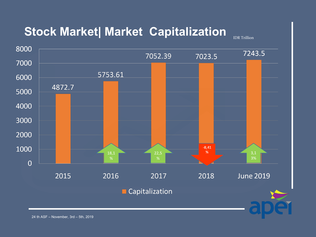## **Stock Market| Market Capitalization**

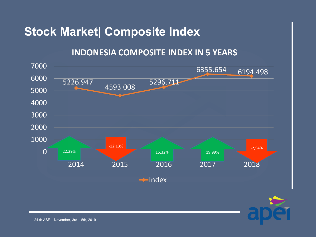### **Stock Market| Composite Index**

### **INDONESIA COMPOSITE INDEX IN 5 YEARS**



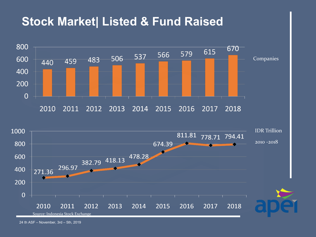#### **Stock Market| Listed & Fund Raised** Companies  $\overline{0}$ 2012 2013 IDR Trillion 811.81 778.71 794.41 2010 -2018674.39 382.79 418.13 478.28 296.97 271.36  $\overline{0}$ Source: Indonesia Stock Exchange

24 th ASF – November, 3rd – 5th, 2019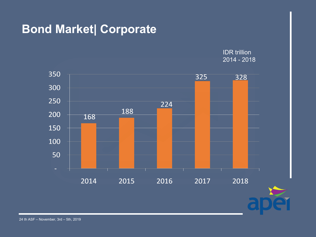### **Bond Market| Corporate**

IDR trillion  $2014 - 2018$ 



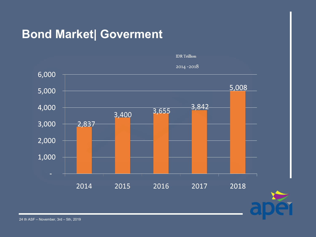### **Bond Market| Goverment**



2014-2018

 $\overline{\mathbf{C}}$ 



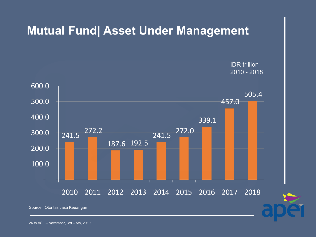### **Mutual Fund| Asset Under Management**

IDR trillion 2010 - 2018



Source : Otoritas Jasa Keuangan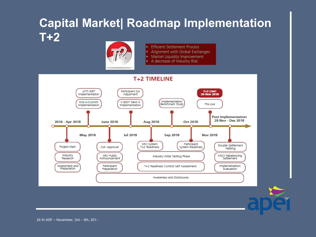## **Capital Market| Roadmap Implementation T+2**



- **Efficient Settlement Process** ٠
- Alignment with Global Exchanges
- Market Liquidity Improvement ٠
- A decrease of Industry Risk



24 th ASF – November,  $3rd - 5th$ ,  $2019$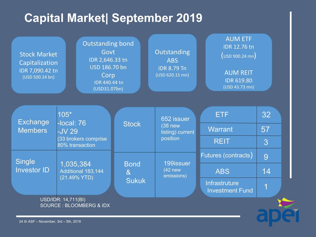## **Capital Market| September 2019**

| <b>Outstanding bond</b><br>Govt<br><b>Stock Market</b><br>IDR 2,646.33 tn<br>Capitalization<br>USD 186.70 bn<br>IDR 7,090.42 tn<br>Corp<br>(USD 500.24 bn)<br>IDR 440.44 tn<br>(USD31.07bn) |                                                           | <b>AUM ETF</b><br><b>IDR 12.76 tn</b><br>Outstanding<br>$(\cup$ SD 900.24 mn $)$<br><b>ABS</b><br><b>IDR 8.79 Tn</b><br><b>AUM REIT</b><br>(USD 620.15 mn)<br><b>IDR 619.80</b><br>(USD 43.73 mn) |                                                        |                                                |          |
|---------------------------------------------------------------------------------------------------------------------------------------------------------------------------------------------|-----------------------------------------------------------|---------------------------------------------------------------------------------------------------------------------------------------------------------------------------------------------------|--------------------------------------------------------|------------------------------------------------|----------|
| <b>Exchange</b><br><b>Members</b>                                                                                                                                                           | $105*$<br>$-local: 76$<br><b>-JV 29</b>                   | <b>Stock</b>                                                                                                                                                                                      | 652 issuer<br>(38 <sub>new</sub> )<br>listing) current | <b>ETF</b><br><b>Warrant</b>                   | 32<br>57 |
|                                                                                                                                                                                             | (33 brokers comprise<br>80% transaction                   |                                                                                                                                                                                                   | position                                               | <b>REIT</b>                                    | 3        |
| Single<br><b>Investor ID</b>                                                                                                                                                                | 1,035,384<br>Additional 183,144<br>(21.49% YTD)           | <b>Bond</b>                                                                                                                                                                                       | 199issuer                                              | Futures (contracts)                            | 9        |
|                                                                                                                                                                                             |                                                           | 8 <sub>x</sub><br><b>Sukuk</b>                                                                                                                                                                    | $(42$ new<br>emissions)                                | <b>ABS</b>                                     | 14       |
|                                                                                                                                                                                             |                                                           |                                                                                                                                                                                                   |                                                        | <b>Infrastruture</b><br><b>Investment Fund</b> | 1        |
|                                                                                                                                                                                             | USD/IDR: 14,711(BI)<br><b>SOURCE: BLOOMBERG &amp; IDX</b> |                                                                                                                                                                                                   |                                                        |                                                |          |

24 th ASF – November, 3rd – 5th, 2019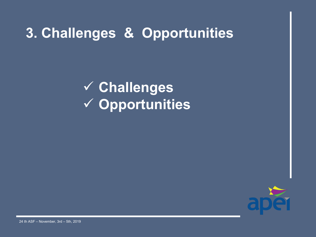## **3. Challenges & Opportunities**

 **Challenges Opportunities**

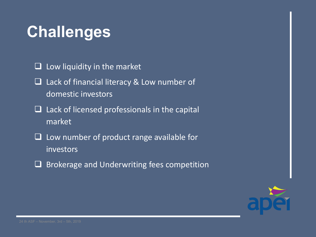# **Challenges**

 $\Box$  Low liquidity in the market

- □ Lack of financial literacy & Low number of domestic investors
- $\Box$  Lack of licensed professionals in the capital market
- $\Box$  Low number of product range available for investors
- $\Box$  Brokerage and Underwriting fees competition

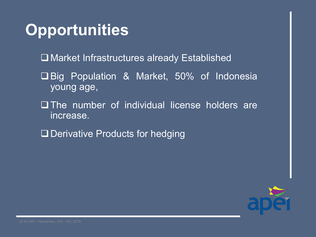# **Opportunities**

- □ Market Infrastructures already Established
- Big Population & Market, 50% of Indonesia young age,
- The number of individual license holders are increase.
- □ Derivative Products for hedging